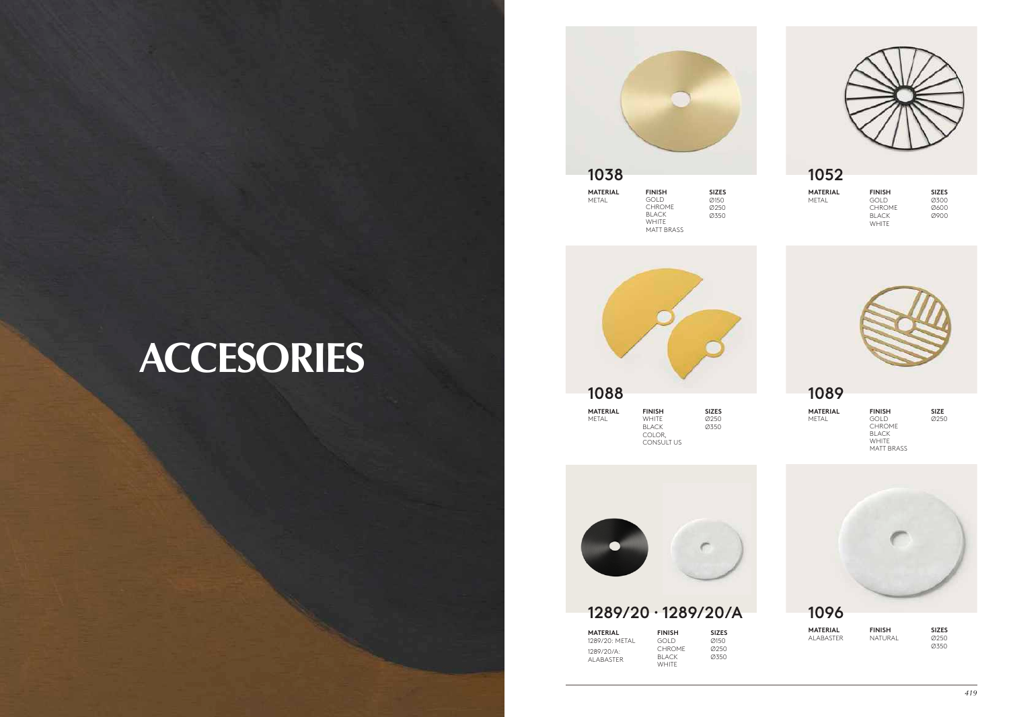## **ACCESORIES**

| 1038                     |                       |                      |
|--------------------------|-----------------------|----------------------|
| <b>MATERIAL</b><br>METAL | <b>FINISH</b><br>GOLD | <b>SIZES</b><br>Ø150 |

CHROME BLACK **WHITE** MATT BRASS Ø250 Ø350



| <b>MATERIAL</b> | <b>FINISH</b> | <b>SIZES</b> |
|-----------------|---------------|--------------|
| METAL           | <b>GOLD</b>   | 0300         |
|                 | <b>CHROME</b> | Ø600         |
|                 | <b>BLACK</b>  | 0900         |
|                 | <b>WHITE</b>  |              |





| 100Y            |                                                                             |             |
|-----------------|-----------------------------------------------------------------------------|-------------|
| <b>MATERIAL</b> | <b>FINISH</b>                                                               | <b>SIZE</b> |
| METAL           | GOL D<br><b>CHROME</b><br><b>BLACK</b><br><b>WHITE</b><br><b>MATT BRASS</b> | Ø25C        |



CONSULT US

## 1289/20 · 1289/20/A

**MATERIAL** 1289/20: METAL 1289/20/A: ALABASTER

**FINISH** GOLD **CHROME** BLACK WHITE

 $@150$ Ø250 Ø350



1096

**MATERIAL** ALABASTER